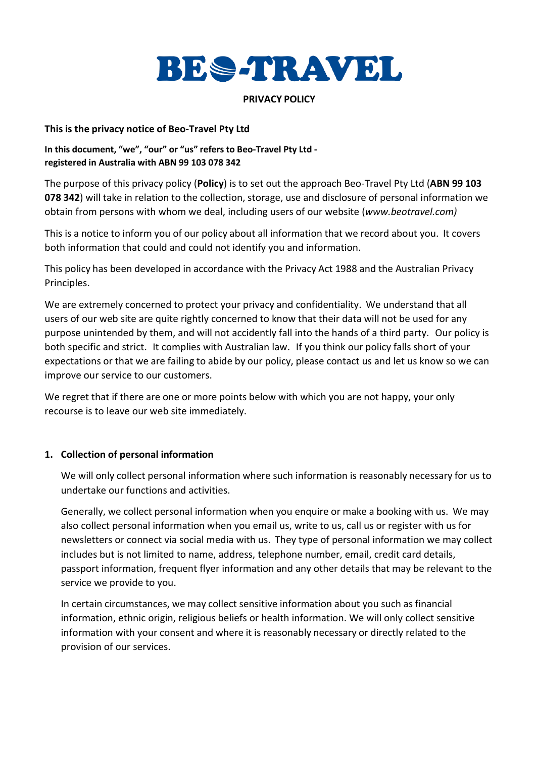

#### **PRIVACY POLICY**

#### **This is the privacy notice of Beo-Travel Pty Ltd**

# **In this document, "we", "our" or "us" refers to Beo-Travel Pty Ltd registered in Australia with ABN 99 103 078 342**

The purpose of this privacy policy (**Policy**) is to set out the approach Beo-Travel Pty Ltd (**ABN 99 103 078 342**) will take in relation to the collection, storage, use and disclosure of personal information we obtain from persons with whom we deal, including users of our website (*www.beotravel.com)*

This is a notice to inform you of our policy about all information that we record about you. It covers both information that could and could not identify you and information.

This policy has been developed in accordance with the Privacy Act 1988 and the Australian Privacy Principles.

We are extremely concerned to protect your privacy and confidentiality. We understand that all users of our web site are quite rightly concerned to know that their data will not be used for any purpose unintended by them, and will not accidently fall into the hands of a third party. Our policy is both specific and strict. It complies with Australian law. If you think our policy falls short of your expectations or that we are failing to abide by our policy, please contact us and let us know so we can improve our service to our customers.

We regret that if there are one or more points below with which you are not happy, your only recourse is to leave our web site immediately.

# **1. Collection of personal information**

We will only collect personal information where such information is reasonably necessary for us to undertake our functions and activities.

Generally, we collect personal information when you enquire or make a booking with us. We may also collect personal information when you email us, write to us, call us or register with us for newsletters or connect via social media with us. They type of personal information we may collect includes but is not limited to name, address, telephone number, email, credit card details, passport information, frequent flyer information and any other details that may be relevant to the service we provide to you.

In certain circumstances, we may collect sensitive information about you such as financial information, ethnic origin, religious beliefs or health information. We will only collect sensitive information with your consent and where it is reasonably necessary or directly related to the provision of our services.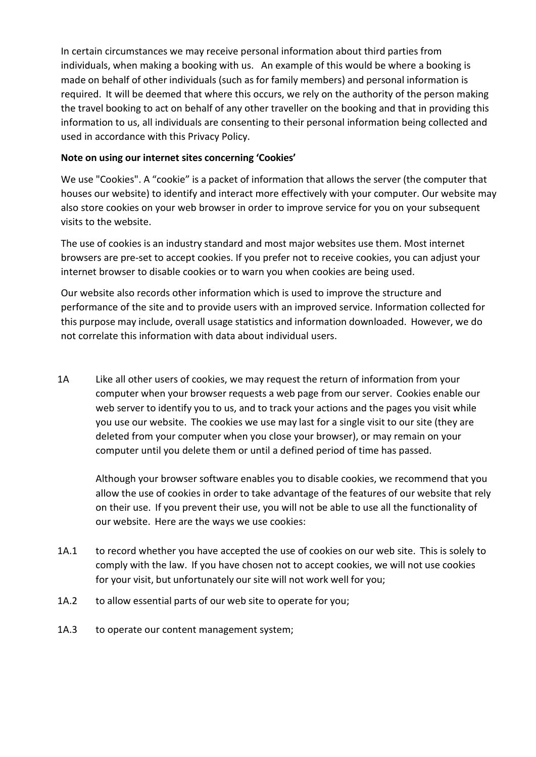In certain circumstances we may receive personal information about third parties from individuals, when making a booking with us. An example of this would be where a booking is made on behalf of other individuals (such as for family members) and personal information is required. It will be deemed that where this occurs, we rely on the authority of the person making the travel booking to act on behalf of any other traveller on the booking and that in providing this information to us, all individuals are consenting to their personal information being collected and used in accordance with this Privacy Policy.

# **Note on using our internet sites concerning 'Cookies'**

We use "Cookies". A "cookie" is a packet of information that allows the server (the computer that houses our website) to identify and interact more effectively with your computer. Our website may also store cookies on your web browser in order to improve service for you on your subsequent visits to the website.

The use of cookies is an industry standard and most major websites use them. Most internet browsers are pre-set to accept cookies. If you prefer not to receive cookies, you can adjust your internet browser to disable cookies or to warn you when cookies are being used.

Our website also records other information which is used to improve the structure and performance of the site and to provide users with an improved service. Information collected for this purpose may include, overall usage statistics and information downloaded. However, we do not correlate this information with data about individual users.

1A Like all other users of cookies, we may request the return of information from your computer when your browser requests a web page from our server. Cookies enable our web server to identify you to us, and to track your actions and the pages you visit while you use our website. The cookies we use may last for a single visit to our site (they are deleted from your computer when you close your browser), or may remain on your computer until you delete them or until a defined period of time has passed.

Although your browser software enables you to disable cookies, we recommend that you allow the use of cookies in order to take advantage of the features of our website that rely on their use. If you prevent their use, you will not be able to use all the functionality of our website. Here are the ways we use cookies:

- 1A.1 to record whether you have accepted the use of cookies on our web site. This is solely to comply with the law. If you have chosen not to accept cookies, we will not use cookies for your visit, but unfortunately our site will not work well for you;
- 1A.2 to allow essential parts of our web site to operate for you;
- 1A.3 to operate our content management system;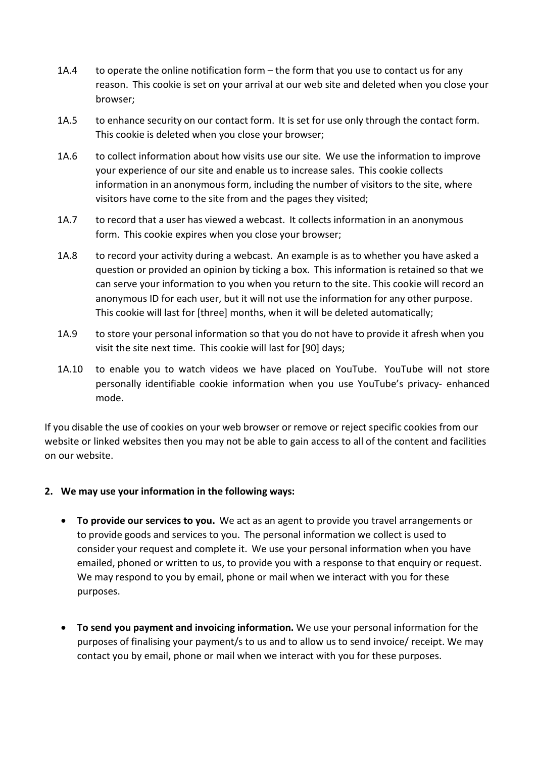- 1A.4 to operate the online notification form the form that you use to contact us for any reason. This cookie is set on your arrival at our web site and deleted when you close your browser;
- 1A.5 to enhance security on our contact form. It is set for use only through the contact form. This cookie is deleted when you close your browser;
- 1A.6 to collect information about how visits use our site. We use the information to improve your experience of our site and enable us to increase sales. This cookie collects information in an anonymous form, including the number of visitors to the site, where visitors have come to the site from and the pages they visited;
- 1A.7 to record that a user has viewed a webcast. It collects information in an anonymous form. This cookie expires when you close your browser;
- 1A.8 to record your activity during a webcast. An example is as to whether you have asked a question or provided an opinion by ticking a box. This information is retained so that we can serve your information to you when you return to the site. This cookie will record an anonymous ID for each user, but it will not use the information for any other purpose. This cookie will last for [three] months, when it will be deleted automatically;
- 1A.9 to store your personal information so that you do not have to provide it afresh when you visit the site next time. This cookie will last for [90] days;
- 1A.10 to enable you to watch videos we have placed on YouTube. YouTube will not store personally identifiable cookie information when you use YouTube's privacy- enhanced mode.

If you disable the use of cookies on your web browser or remove or reject specific cookies from our website or linked websites then you may not be able to gain access to all of the content and facilities on our website.

# **2. We may use your information in the following ways:**

- **To provide our services to you.** We act as an agent to provide you travel arrangements or to provide goods and services to you. The personal information we collect is used to consider your request and complete it. We use your personal information when you have emailed, phoned or written to us, to provide you with a response to that enquiry or request. We may respond to you by email, phone or mail when we interact with you for these purposes.
- **To send you payment and invoicing information.** We use your personal information for the purposes of finalising your payment/s to us and to allow us to send invoice/ receipt. We may contact you by email, phone or mail when we interact with you for these purposes.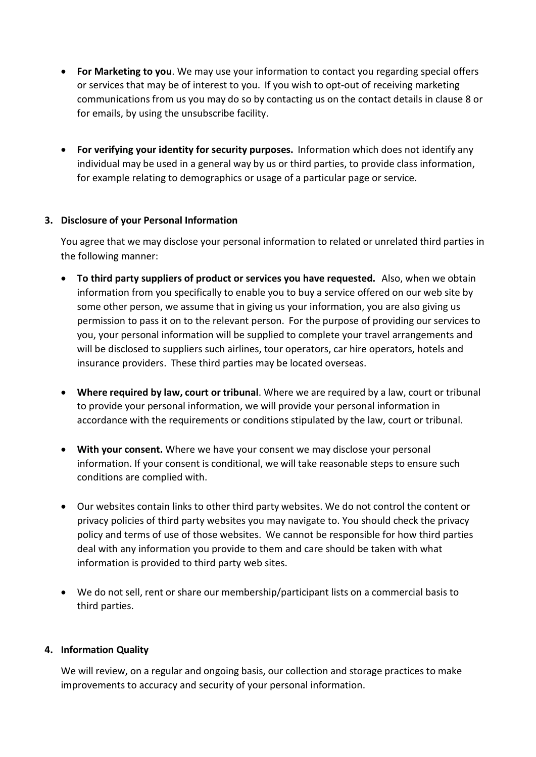- **For Marketing to you**. We may use your information to contact you regarding special offers or services that may be of interest to you. If you wish to opt-out of receiving marketing communications from us you may do so by contacting us on the contact details in clause 8 or for emails, by using the unsubscribe facility.
- **For verifying your identity for security purposes.** Information which does not identify any individual may be used in a general way by us or third parties, to provide class information, for example relating to demographics or usage of a particular page or service.

# **3. Disclosure of your Personal Information**

You agree that we may disclose your personal information to related or unrelated third parties in the following manner:

- **To third party suppliers of product or services you have requested.** Also, when we obtain information from you specifically to enable you to buy a service offered on our web site by some other person, we assume that in giving us your information, you are also giving us permission to pass it on to the relevant person. For the purpose of providing our services to you, your personal information will be supplied to complete your travel arrangements and will be disclosed to suppliers such airlines, tour operators, car hire operators, hotels and insurance providers. These third parties may be located overseas.
- **Where required by law, court or tribunal**. Where we are required by a law, court or tribunal to provide your personal information, we will provide your personal information in accordance with the requirements or conditions stipulated by the law, court or tribunal.
- **With your consent.** Where we have your consent we may disclose your personal information. If your consent is conditional, we will take reasonable steps to ensure such conditions are complied with.
- Our websites contain links to other third party websites. We do not control the content or privacy policies of third party websites you may navigate to. You should check the privacy policy and terms of use of those websites. We cannot be responsible for how third parties deal with any information you provide to them and care should be taken with what information is provided to third party web sites.
- We do not sell, rent or share our membership/participant lists on a commercial basis to third parties.

# **4. Information Quality**

We will review, on a regular and ongoing basis, our collection and storage practices to make improvements to accuracy and security of your personal information.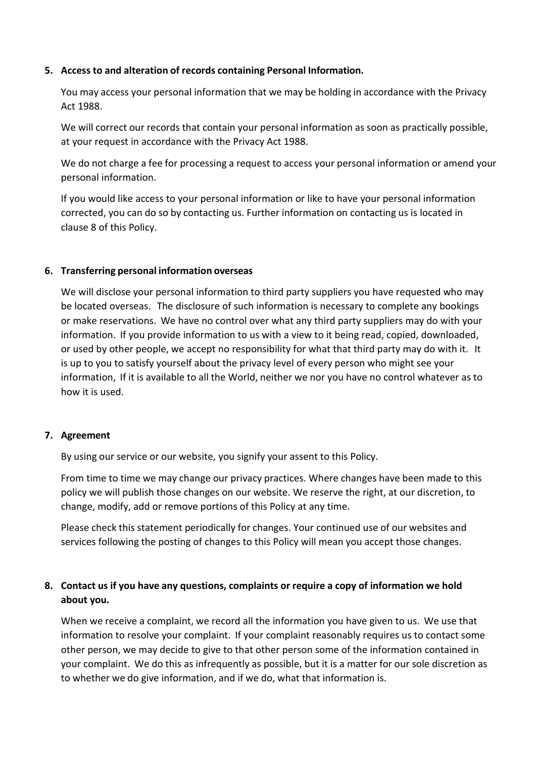#### **5. Access to and alteration of records containing Personal Information.**

You may access your personal information that we may be holding in accordance with the Privacy Act 1988.

We will correct our records that contain your personal information as soon as practically possible, at your request in accordance with the Privacy Act 1988.

We do not charge a fee for processing a request to access your personal information or amend your personal information.

If you would like access to your personal information or like to have your personal information corrected, you can do so by contacting us. Further information on contacting us is located in clause 8 of this Policy.

#### **6. Transferring personal information overseas**

We will disclose your personal information to third party suppliers you have requested who may be located overseas. The disclosure of such information is necessary to complete any bookings or make reservations. We have no control over what any third party suppliers may do with your information. If you provide information to us with a view to it being read, copied, downloaded, or used by other people, we accept no responsibility for what that third party may do with it. It is up to you to satisfy yourself about the privacy level of every person who might see your information, If it is available to all the World, neither we nor you have no control whatever as to how it is used.

#### **7. Agreement**

By using our service or our website, you signify your assent to this Policy.

From time to time we may change our privacy practices. Where changes have been made to this policy we will publish those changes on our website. We reserve the right, at our discretion, to change, modify, add or remove portions of this Policy at any time.

Please check this statement periodically for changes. Your continued use of our websites and services following the posting of changes to this Policy will mean you accept those changes.

# **8. Contact us if you have any questions, complaints or require a copy of information we hold about you.**

When we receive a complaint, we record all the information you have given to us. We use that information to resolve your complaint. If your complaint reasonably requires us to contact some other person, we may decide to give to that other person some of the information contained in your complaint. We do this as infrequently as possible, but it is a matter for our sole discretion as to whether we do give information, and if we do, what that information is.